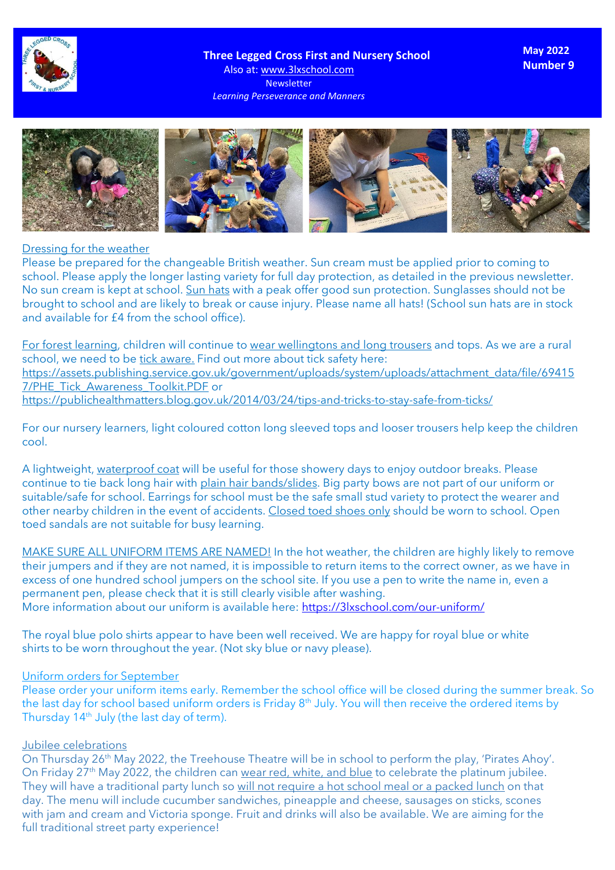

 **Three Legged Cross First and Nursery School**

Also at: www.3lxschool.com Newsletter *Learning Perseverance and Manners* **May 2022 Number 9**



#### Dressing for the weather

Please be prepared for the changeable British weather. Sun cream must be applied prior to coming to school. Please apply the longer lasting variety for full day protection, as detailed in the previous newsletter. No sun cream is kept at school. Sun hats with a peak offer good sun protection. Sunglasses should not be brought to school and are likely to break or cause injury. Please name all hats! (School sun hats are in stock and available for £4 from the school office).

For forest learning, children will continue to wear wellingtons and long trousers and tops. As we are a rural school, we need to be tick aware. Find out more about tick safety here: [https://assets.publishing.service.gov.uk/government/uploads/system/uploads/attachment\\_data/file/69415](https://assets.publishing.service.gov.uk/government/uploads/system/uploads/attachment_data/file/694157/PHE_Tick_Awareness_Toolkit.PDF) [7/PHE\\_Tick\\_Awareness\\_Toolkit.PDF](https://assets.publishing.service.gov.uk/government/uploads/system/uploads/attachment_data/file/694157/PHE_Tick_Awareness_Toolkit.PDF) or <https://publichealthmatters.blog.gov.uk/2014/03/24/tips-and-tricks-to-stay-safe-from-ticks/>

For our nursery learners, light coloured cotton long sleeved tops and looser trousers help keep the children cool.

A lightweight, waterproof coat will be useful for those showery days to enjoy outdoor breaks. Please continue to tie back long hair with plain hair bands/slides. Big party bows are not part of our uniform or suitable/safe for school. Earrings for school must be the safe small stud variety to protect the wearer and other nearby children in the event of accidents. Closed toed shoes only should be worn to school. Open toed sandals are not suitable for busy learning.

MAKE SURE ALL UNIFORM ITEMS ARE NAMED! In the hot weather, the children are highly likely to remove their jumpers and if they are not named, it is impossible to return items to the correct owner, as we have in excess of one hundred school jumpers on the school site. If you use a pen to write the name in, even a permanent pen, please check that it is still clearly visible after washing. More information about our uniform is available here: <https://3lxschool.com/our-uniform/>

The royal blue polo shirts appear to have been well received. We are happy for royal blue or white shirts to be worn throughout the year. (Not sky blue or navy please).

### Uniform orders for September

Please order your uniform items early. Remember the school office will be closed during the summer break. So the last day for school based uniform orders is Friday 8<sup>th</sup> July. You will then receive the ordered items by Thursday 14<sup>th</sup> July (the last day of term).

#### Jubilee celebrations

On Thursday 26<sup>th</sup> May 2022, the Treehouse Theatre will be in school to perform the play, 'Pirates Ahoy'. On Friday 27<sup>th</sup> May 2022, the children can wear red, white, and blue to celebrate the platinum jubilee. They will have a traditional party lunch so will not require a hot school meal or a packed lunch on that day. The menu will include cucumber sandwiches, pineapple and cheese, sausages on sticks, scones with jam and cream and Victoria sponge. Fruit and drinks will also be available. We are aiming for the full traditional street party experience!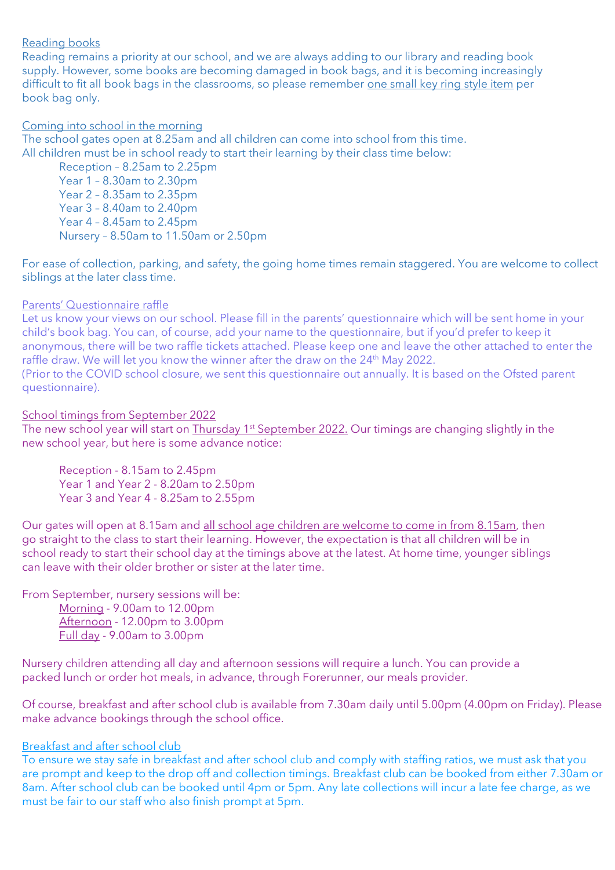# Reading books

Reading remains a priority at our school, and we are always adding to our library and reading book supply. However, some books are becoming damaged in book bags, and it is becoming increasingly difficult to fit all book bags in the classrooms, so please remember one small key ring style item per book bag only.

### Coming into school in the morning

The school gates open at 8.25am and all children can come into school from this time. All children must be in school ready to start their learning by their class time below:

Reception – 8.25am to 2.25pm Year 1 – 8.30am to 2.30pm Year 2 – 8.35am to 2.35pm Year 3 – 8.40am to 2.40pm Year 4 – 8.45am to 2.45pm Nursery – 8.50am to 11.50am or 2.50pm

For ease of collection, parking, and safety, the going home times remain staggered. You are welcome to collect siblings at the later class time.

# Parents' Questionnaire raffle

Let us know your views on our school. Please fill in the parents' questionnaire which will be sent home in your child's book bag. You can, of course, add your name to the questionnaire, but if you'd prefer to keep it anonymous, there will be two raffle tickets attached. Please keep one and leave the other attached to enter the raffle draw. We will let you know the winner after the draw on the 24<sup>th</sup> May 2022. (Prior to the COVID school closure, we sent this questionnaire out annually. It is based on the Ofsted parent questionnaire).

# School timings from September 2022

The new school year will start on Thursday 1st September 2022. Our timings are changing slightly in the new school year, but here is some advance notice:

Reception - 8.15am to 2.45pm Year 1 and Year 2 - 8.20am to 2.50pm Year 3 and Year 4 - 8.25am to 2.55pm

Our gates will open at 8.15am and all school age children are welcome to come in from 8.15am, then go straight to the class to start their learning. However, the expectation is that all children will be in school ready to start their school day at the timings above at the latest. At home time, younger siblings can leave with their older brother or sister at the later time.

From September, nursery sessions will be:

Morning - 9.00am to 12.00pm Afternoon - 12.00pm to 3.00pm Full day - 9.00am to 3.00pm

Nursery children attending all day and afternoon sessions will require a lunch. You can provide a packed lunch or order hot meals, in advance, through Forerunner, our meals provider.

Of course, breakfast and after school club is available from 7.30am daily until 5.00pm (4.00pm on Friday). Please make advance bookings through the school office.

# Breakfast and after school club

To ensure we stay safe in breakfast and after school club and comply with staffing ratios, we must ask that you are prompt and keep to the drop off and collection timings. Breakfast club can be booked from either 7.30am or 8am. After school club can be booked until 4pm or 5pm. Any late collections will incur a late fee charge, as we must be fair to our staff who also finish prompt at 5pm.